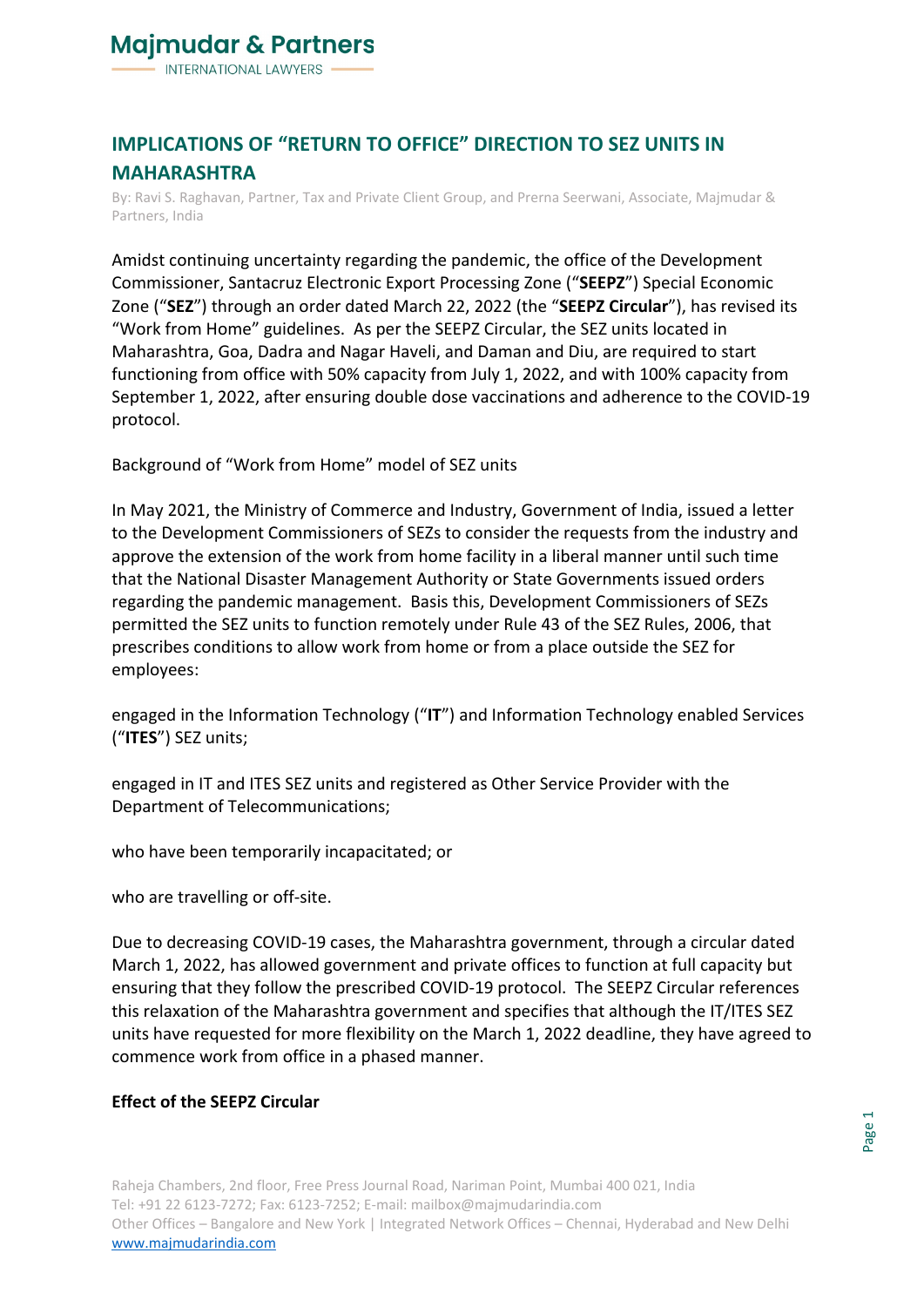

## **IMPLICATIONS OF "RETURN TO OFFICE" DIRECTION TO SEZ UNITS IN MAHARASHTRA**

By: Ravi S. Raghavan, Partner, Tax and Private Client Group, and Prerna Seerwani, Associate, Majmudar & Partners, India

Amidst continuing uncertainty regarding the pandemic, the office of the Development Commissioner, Santacruz Electronic Export Processing Zone ("**SEEPZ**") Special Economic Zone ("**SEZ**") through an order dated March 22, 2022 (the "**SEEPZ Circular**"), has revised its "Work from Home" guidelines. As per the SEEPZ Circular, the SEZ units located in Maharashtra, Goa, Dadra and Nagar Haveli, and Daman and Diu, are required to start functioning from office with 50% capacity from July 1, 2022, and with 100% capacity from September 1, 2022, after ensuring double dose vaccinations and adherence to the COVID-19 protocol.

Background of "Work from Home" model of SEZ units

In May 2021, the Ministry of Commerce and Industry, Government of India, issued a letter to the Development Commissioners of SEZs to consider the requests from the industry and approve the extension of the work from home facility in a liberal manner until such time that the National Disaster Management Authority or State Governments issued orders regarding the pandemic management. Basis this, Development Commissioners of SEZs permitted the SEZ units to function remotely under Rule 43 of the SEZ Rules, 2006, that prescribes conditions to allow work from home or from a place outside the SEZ for employees:

engaged in the Information Technology ("**IT**") and Information Technology enabled Services ("**ITES**") SEZ units;

engaged in IT and ITES SEZ units and registered as Other Service Provider with the Department of Telecommunications;

who have been temporarily incapacitated; or

who are travelling or off-site.

Due to decreasing COVID-19 cases, the Maharashtra government, through a circular dated March 1, 2022, has allowed government and private offices to function at full capacity but ensuring that they follow the prescribed COVID-19 protocol. The SEEPZ Circular references this relaxation of the Maharashtra government and specifies that although the IT/ITES SEZ units have requested for more flexibility on the March 1, 2022 deadline, they have agreed to commence work from office in a phased manner.

## **Effect of the SEEPZ Circular**